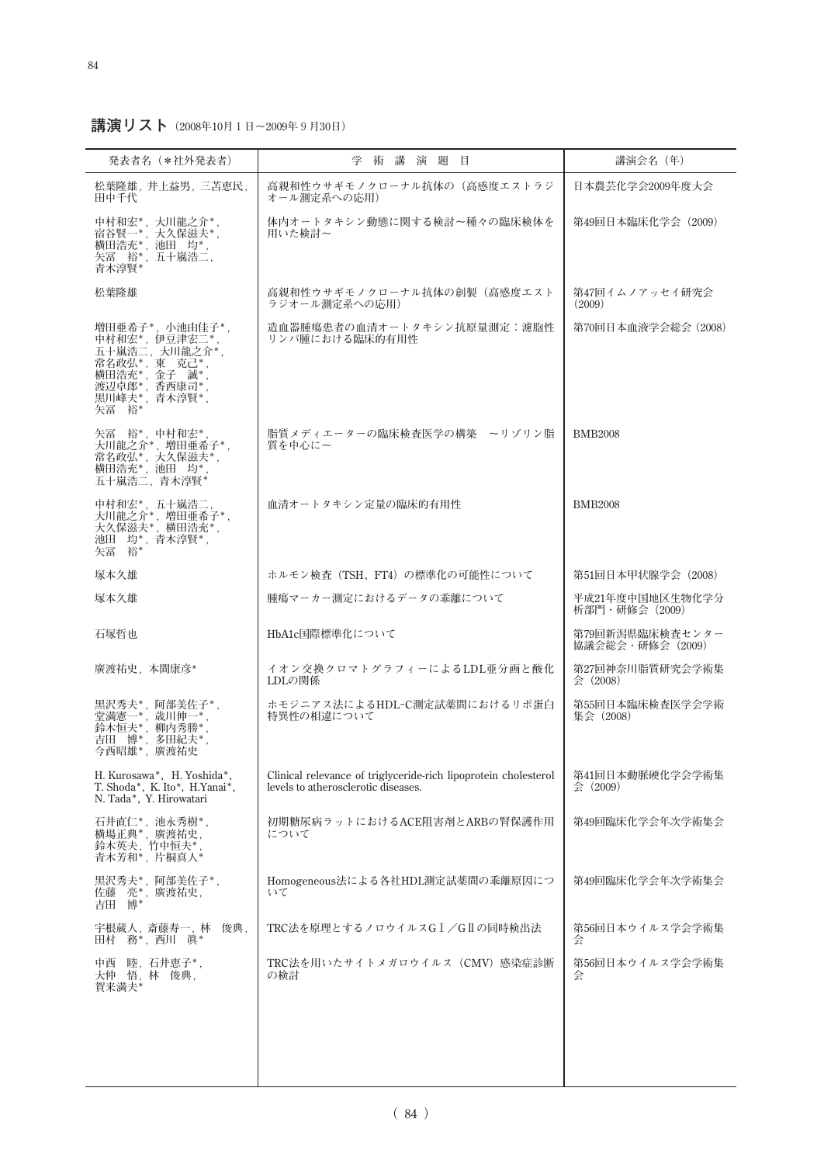**講演リスト(2008年10月1日~2009年9月30日)**

| 発表者名 (*社外発表者)                                                                                     | 学術講演題目                                                                                                 | 講演会名(年)                            |
|---------------------------------------------------------------------------------------------------|--------------------------------------------------------------------------------------------------------|------------------------------------|
| 松葉隆雄, 井上益男, 三苫恵民,<br>田中千代                                                                         | 高親和性ウサギモノクローナル抗体の(高感度エストラジ<br>オール測定系への応用)                                                              | 日本農芸化学会2009年度大会                    |
| 中村和宏*,大川龍之介*<br>宿谷賢一*, 大久保滋夫*,<br>横田浩充*, 池田 均*,<br>矢冨 裕*, 五十嵐浩二,<br>青木淳賢*                         | 体内オートタキシン動態に関する検討~種々の臨床検体を<br>用いた検討~                                                                   | 第49回日本臨床化学会 (2009)                 |
| 松葉隆雄                                                                                              | 高親和性ウサギモノクローナル抗体の創製(高感度エスト<br>ラジオール測定系への応用)                                                            | 第47回イムノアッセイ研究会<br>(2009)           |
| 増田亜希子*. 小池由佳子*.<br>中村和宏*, 伊豆津宏二*<br>五十嵐浩二,大川龍之介*,<br>矢冨 裕*                                        | 造血器腫瘍患者の血清オートタキシン抗原量測定:濾胞性<br>リンパ腫における臨床的有用性                                                           | 第70回日本血液学会総会(2008)                 |
| 矢冨 裕*, 中村和宏*<br>大川龍之介*, 増田亜希子*,<br>〈常在》,,大久保滋夫**,<br>常名政弘*,大久保滋夫*,<br>横田浩充*,池田 均*,<br>五十嵐浩二,青木淳賢* | 脂質メディエーターの臨床検査医学の構築 ~リゾリン脂<br>質を中心に~                                                                   | <b>BMB2008</b>                     |
| 中村和宏*, 五十嵐浩二.<br>大川龍之介*, 増田亜希子*,<br>大久保滋夫*, 横田浩充*,<br>池田 均*, 青木淳賢*,<br>矢冨 裕*                      | 血清オートタキシン定量の臨床的有用性                                                                                     | <b>BMB2008</b>                     |
| 塚本久雄                                                                                              | ホルモン検査 (TSH、FT4) の標準化の可能性について                                                                          | 第51回日本甲状腺学会 (2008)                 |
| 塚本久雄                                                                                              | 腫瘍マーカー測定におけるデータの乖離について                                                                                 | 平成21年度中国地区生物化学分<br>析部門・研修会 (2009)  |
| 石塚哲也                                                                                              | HbA1c国際標準化について                                                                                         | 第79回新潟県臨床検査センター<br>協議会総会・研修会(2009) |
| 廣渡祐史, 本間康彦*                                                                                       | イオン交換クロマトグラフィーによるLDL亜分画と酸化<br>LDLの関係                                                                   | 第27回神奈川脂質研究会学術集<br>会 (2008)        |
| 黒沢秀夫*, 阿部美佐子*,<br>堂満憲一*, 歳川伸一*<br>鈴木恒夫*, 柳内秀勝*<br>吉田 博*,<br>多田紀夫*<br>今西昭雄*,廣渡祐史                   | ホモジニアス法によるHDL-C測定試薬間におけるリポ蛋白<br>特異性の相違について                                                             | 第55回日本臨床検査医学会学術<br>集会(2008)        |
| H. Kurosawa*, H. Yoshida*,<br>T. Shoda*, K. Ito*, H. Yanai*,<br>N. Tada*, Y. Hirowatari           | Clinical relevance of triglyceride-rich lipoprotein cholesterol<br>levels to atherosclerotic diseases. | 第41回日本動脈硬化学会学術集<br>会 (2009)        |
| 石井直仁*, 池永秀樹*,<br>横場正典*, 廣渡祐史,<br>鈴木英夫, 竹中恒夫*<br>青木芳和*,片桐真人*                                       | 初期糖尿病ラットにおけるACE阻害剤とARBの腎保護作用<br>について                                                                   | 第49回臨床化学会年次学術集会                    |
| 黒沢秀夫*, 阿部美佐子*,<br>佐藤 元*, 廣渡祐史,<br>博*<br>吉田                                                        | Homogeneous法による各社HDL測定試薬間の乖離原因につ<br>いて                                                                 | 第49回臨床化学会年次学術集会                    |
| 宇根蔵人, 斎藤寿一, 林<br>俊典,<br>田村 務*. 西川 眞*                                                              | TRC法を原理とするノロウイルスGⅠ/GⅡの同時検出法                                                                            | 第56回日本ウイルス学会学術集<br>会               |
| 中西 睦, 石井恵子*,<br>大仲 悟,林 俊典,<br>賀来満夫*                                                               | TRC法を用いたサイトメガロウイルス(CMV)感染症診断<br>の検討                                                                    | 第56回日本ウイルス学会学術集<br>숲               |
|                                                                                                   |                                                                                                        |                                    |
|                                                                                                   |                                                                                                        |                                    |
|                                                                                                   |                                                                                                        |                                    |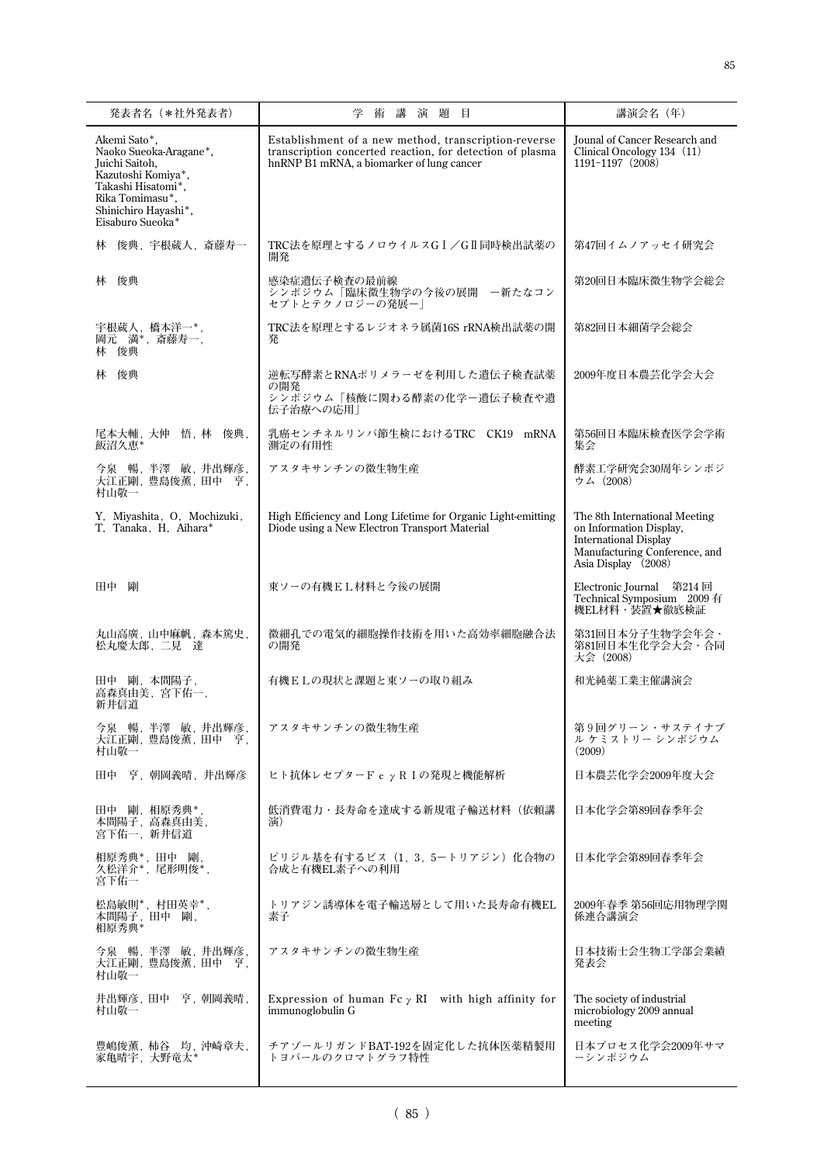| 発表者名 (*社外発表者)                                                                                                                                                       | 講演題目<br>術                                                                                                                                                      | 講演会名 (年)                                                                                                                                         |
|---------------------------------------------------------------------------------------------------------------------------------------------------------------------|----------------------------------------------------------------------------------------------------------------------------------------------------------------|--------------------------------------------------------------------------------------------------------------------------------------------------|
| Akemi Sato*,<br>Naoko Sueoka-Aragane*.<br>Juichi Saitoh,<br>Kazutoshi Komiya*,<br>Takashi Hisatomi*,<br>Rika Tomimasu*,<br>Shinichiro Hayashi*,<br>Eisaburo Sueoka* | Establishment of a new method, transcription-reverse<br>transcription concerted reaction, for detection of plasma<br>hnRNP B1 mRNA, a biomarker of lung cancer | Jounal of Cancer Research and<br>Clinical Oncology 134 (11)<br>1191-1197 (2008)                                                                  |
| 林 俊典, 宇根蔵人, 斎藤寿一                                                                                                                                                    | TRC法を原理とするノロウイルスGI/GI同時検出試薬の<br>開発                                                                                                                             | 第47回イムノアッセイ研究会                                                                                                                                   |
| 林 俊典                                                                                                                                                                | 感染症遺伝子検査の最前線<br>シンポジウム「臨床微生物学の今後の展開 - 新たなコン<br>セプトとテクノロジーの発展ー                                                                                                  | 第20回日本臨床微生物学会総会                                                                                                                                  |
| 宇根蔵人, 橋本洋一*,<br>岡元 満*, 斎藤寿一,<br>林 俊典                                                                                                                                | TRC法を原理とするレジオネラ属菌16S rRNA検出試薬の開<br>発                                                                                                                           | 第82回日本細菌学会総会                                                                                                                                     |
| 林 俊典                                                                                                                                                                | 逆転写酵素とRNAポリメラーゼを利用した遺伝子検査試薬<br>の開発                                                                                                                             | 2009年度日本農芸化学会大会                                                                                                                                  |
|                                                                                                                                                                     | シンポジウム「核酸に関わる酵素の化学ー遺伝子検査や遺<br>伝子治療への応用                                                                                                                         |                                                                                                                                                  |
| 尾本大輔, 大仲 悟, 林 俊典,<br>飯沼久恵*                                                                                                                                          | 乳癌センチネルリンパ節生検におけるTRC CK19 mRNA<br>測定の有用性                                                                                                                       | 第56回日本臨床検査医学会学術<br>集会                                                                                                                            |
| 今泉 暢, 半澤 敏, 井出輝彦,<br>大江正剛, 豊島俊薫, 田中 亨,<br>村山敬一                                                                                                                      | アスタキサンチンの微生物生産                                                                                                                                                 | 酵素工学研究会30周年シンポジ<br>ウム (2008)                                                                                                                     |
| Y. Miyashita, O. Mochizuki,<br>T. Tanaka, H. Aihara*                                                                                                                | High Efficiency and Long Lifetime for Organic Light-emitting<br>Diode using a New Electron Transport Material                                                  | The 8th International Meeting<br>on Information Display,<br><b>International Display</b><br>Manufacturing Conference, and<br>Asia Display (2008) |
| 剛<br>田中                                                                                                                                                             | 東ソーの有機EL材料と今後の展開                                                                                                                                               | Electronic Journal 第214回<br>Technical Symposium 2009 有<br>機EL材料・装置★徹底検証                                                                          |
| 丸山高廣, 山中麻帆, 森本篤史,<br>松丸慶太郎, 二見 達                                                                                                                                    | 微細孔での電気的細胞操作技術を用いた高効率細胞融合法<br>の開発                                                                                                                              | 第31回日本分子生物学会年会 ·<br>第81回日本生化学会大会 · 合同<br>大会 (2008)                                                                                               |
| 田中 剛, 本間陽子,<br>高森真由美, 宮下佑一,<br>新井信道                                                                                                                                 | 有機ELの現状と課題と東ソーの取り組み                                                                                                                                            | 和光純薬工業主催講演会                                                                                                                                      |
| 今泉 暢, 半澤 敏, 井出輝彦,<br>大江正剛, 豊島俊薫, 田中 亨,<br>村山敬一                                                                                                                      | アスタキサンチンの微生物生産                                                                                                                                                 | 第9回グリーン・サステイナブ<br>ル ケミストリー シンポジウム<br>(2009)                                                                                                      |
| 田中 亨, 朝岡義晴, 井出輝彦                                                                                                                                                    | ヒト抗体レセプターF c γ R I の発現と機能解析                                                                                                                                    | 日本農芸化学会2009年度大会                                                                                                                                  |
| 田中 剛, 相原秀典*<br>本間陽子,高森真由美,<br>宮下佑一, 新井信道                                                                                                                            | 低消費電力・長寿命を達成する新規電子輸送材料(依頼講<br>浦)                                                                                                                               | 日本化学会第89回春季年会                                                                                                                                    |
| 相原秀典*,田中 剛,<br>久松洋介*,尾形明俊*,<br>宮下佑一                                                                                                                                 | ピリジル基を有するビス (1, 3, 5ートリアジン) 化合物の<br>合成と有機EL素子への利用                                                                                                              | 日本化学会第89回春季年会                                                                                                                                    |
| 松島敏則*, 村田英幸*,<br>本間陽子, 田中 剛,<br>相原秀典*                                                                                                                               | トリアジン誘導体を電子輸送層として用いた長寿命有機EL<br>素子                                                                                                                              | 2009年春季 第56回応用物理学関<br>係連合講演会                                                                                                                     |
| 今泉 暢,半澤 敏,井出輝彦,<br>大江正剛, 豊島俊薫, 田中 亨,<br>村山敬一                                                                                                                        | アスタキサンチンの微生物生産                                                                                                                                                 | 日本技術士会生物工学部会業績<br>発表会                                                                                                                            |
| 井出輝彦,田中 亨,朝岡義晴,<br>村山敬一                                                                                                                                             | Expression of human $Fc \gamma RI$ with high affinity for<br>immunoglobulin G                                                                                  | The society of industrial<br>microbiology 2009 annual<br>meeting                                                                                 |
| 豊嶋俊薫, 柿谷 均, 沖崎章夫,<br>家亀晴宇, 大野竜太*                                                                                                                                    | チアゾールリガンドBAT-192を固定化した抗体医薬精製用<br>トヨパールのクロマトグラフ特性                                                                                                               | 日本プロセス化学会2009年サマ<br>ーシンポジウム                                                                                                                      |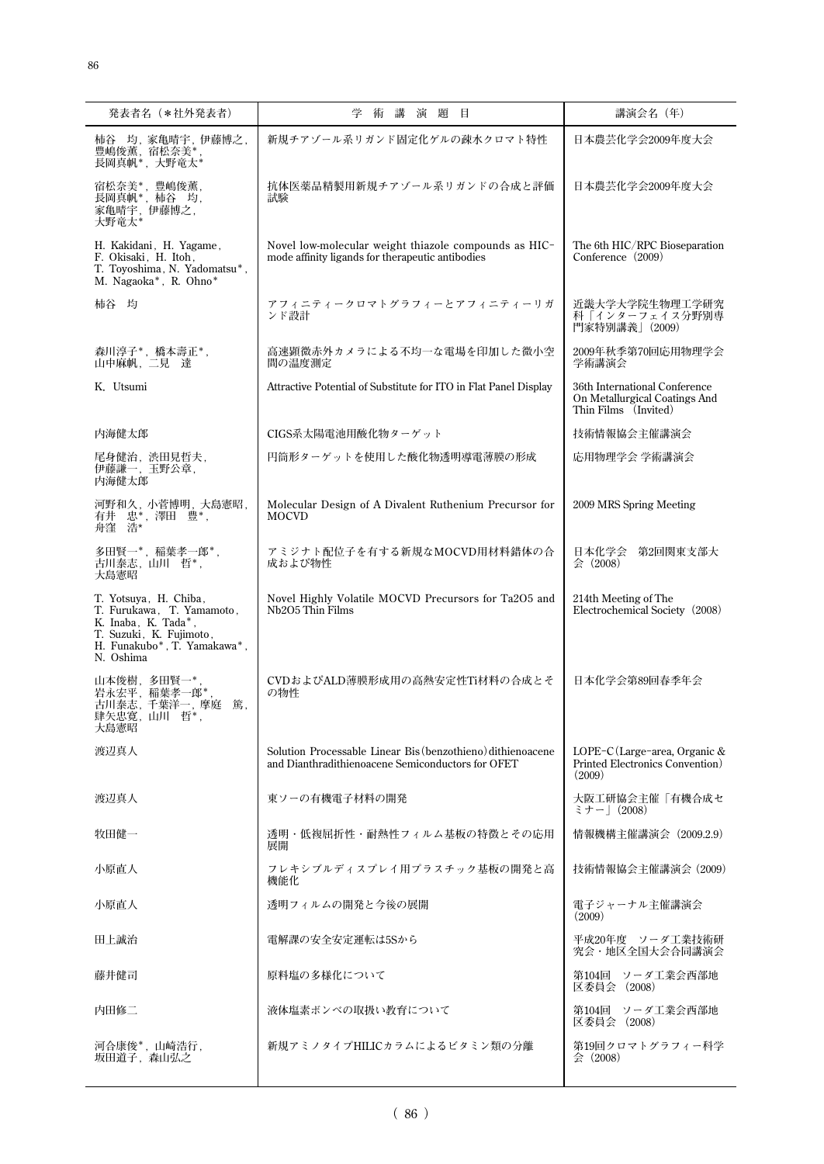| 発表者名 (*社外発表者)                                                                                                                                    | 学術講<br>演 題<br>目                                                                                                  | 講演会名 (年)                                                                               |
|--------------------------------------------------------------------------------------------------------------------------------------------------|------------------------------------------------------------------------------------------------------------------|----------------------------------------------------------------------------------------|
| 柿谷 均,家亀晴宇,伊藤博之,<br>豊嶋俊薫, 宿松奈美*<br>長岡真帆*, 大野竜太*                                                                                                   | 新規チアゾール系リガンド固定化ゲルの疎水クロマト特性                                                                                       | 日本農芸化学会2009年度大会                                                                        |
| 宿松奈美*, 豊嶋俊薫,<br>長岡真帆*, 柿谷 均,<br>家亀晴宇, 伊藤博之,<br>大野竜太*                                                                                             | 抗体医薬品精製用新規チアゾール系リガンドの合成と評価<br>試験                                                                                 | 日本農芸化学会2009年度大会                                                                        |
| H. Kakidani, H. Yagame,<br>F. Okisaki, H. Itoh,<br>T. Toyoshima, N. Yadomatsu*,<br>M. Nagaoka*, R. Ohno*                                         | Novel low-molecular weight thiazole compounds as HIC-<br>mode affinity ligands for therapeutic antibodies        | The 6th HIC/RPC Bioseparation<br>Conference (2009)                                     |
| 柿谷 均                                                                                                                                             | アフィニティークロマトグラフィーとアフィニティーリガ<br>ンド設計                                                                               | 近畿大学大学院生物理工学研究<br>科「インターフェイス分野別専<br>門家特別講義   (2009)                                    |
| 森川淳子*,橋本壽正*,<br>山中麻帆, 二見 達                                                                                                                       | 高速顕微赤外カメラによる不均一な電場を印加した微小空<br>間の温度測定                                                                             | 2009年秋季第70回応用物理学会<br>学術講演会                                                             |
| K. Utsumi                                                                                                                                        | Attractive Potential of Substitute for ITO in Flat Panel Display                                                 | 36th International Conference<br>On Metallurgical Coatings And<br>Thin Films (Invited) |
| 内海健太郎                                                                                                                                            | CIGS系太陽電池用酸化物ターゲット                                                                                               | 技術情報協会主催講演会                                                                            |
| 尾身健治, 渋田見哲夫,<br>伊藤謙一,玉野公章,<br>内海健太郎                                                                                                              | 円筒形ターゲットを使用した酸化物透明導電薄膜の形成                                                                                        | 応用物理学会 学術講演会                                                                           |
| 河野和久,小菅博明,大島憲昭,<br>有井 忠*, 澤田 豊*,<br>舟窪 浩*                                                                                                        | Molecular Design of A Divalent Ruthenium Precursor for<br><b>MOCVD</b>                                           | 2009 MRS Spring Meeting                                                                |
| 多田賢一*, 稲葉孝一郎*,<br>古川泰志, 山川 哲*,<br>大島憲昭                                                                                                           | アミジナト配位子を有する新規なMOCVD用材料錯体の合<br>成および物性                                                                            | 日本化学会<br>第2回関東支部大<br>会 (2008)                                                          |
| T. Yotsuya, H. Chiba,<br>T. Furukawa, T. Yamamoto,<br>K. Inaba, K. Tada*,<br>T. Suzuki, K. Fujimoto,<br>H. Funakubo*, T. Yamakawa*,<br>N. Oshima | Novel Highly Volatile MOCVD Precursors for Ta2O5 and<br>Nb2O5 Thin Films                                         | 214th Meeting of The<br>Electrochemical Society (2008)                                 |
| 山本俊樹.多田賢一*<br>岩永宏平,稲葉孝一郎*<br>古川泰志, 千葉洋一, 摩庭<br>篤,<br>肆矢忠寛,山川哲*,<br>大島憲昭                                                                          | CVDおよびALD薄膜形成用の高熱安定性Ti材料の合成とそ<br>の物性                                                                             | 日本化学会第89回春季年会                                                                          |
| 渡辺真人                                                                                                                                             | Solution Processable Linear Bis (benzothieno) dithienoacene<br>and Dianthradithienoacene Semiconductors for OFET | LOPE-C(Large-area, Organic &<br>Printed Electronics Convention)<br>(2009)              |
| 渡辺真人                                                                                                                                             | 東ソーの有機電子材料の開発                                                                                                    | 大阪工研協会主催「有機合成セ<br>ミナー  (2008)                                                          |
| 牧田健一                                                                                                                                             | 透明・低複屈折性・耐熱性フィルム基板の特徴とその応用<br>展開                                                                                 | 情報機構主催講演会 (2009.2.9)                                                                   |
| 小原直人                                                                                                                                             | フレキシブルディスプレイ用プラスチック基板の開発と高<br>機能化                                                                                | 技術情報協会主催講演会 (2009)                                                                     |
| 小原直人                                                                                                                                             | 透明フィルムの開発と今後の展開                                                                                                  | 電子ジャーナル主催講演会<br>(2009)                                                                 |
| 田上誠治                                                                                                                                             | 電解課の安全安定運転は5Sから                                                                                                  | 平成20年度 ソーダ工業技術研<br>究会·地区全国大会合同講演会                                                      |
| 藤井健司                                                                                                                                             | 原料塩の多様化について                                                                                                      | 第104回 ソーダ工業会西部地<br>区委員会 (2008)                                                         |
| 内田修二                                                                                                                                             | 液体塩素ボンベの取扱い教育について                                                                                                | 第104回 ソーダ工業会西部地<br>区委員会 (2008)                                                         |
| 河合康俊*,山崎浩行,<br>坂田道子, 森山弘之                                                                                                                        | 新規アミノタイプHILICカラムによるビタミン類の分離                                                                                      | 第19回クロマトグラフィー科学<br>会 (2008)                                                            |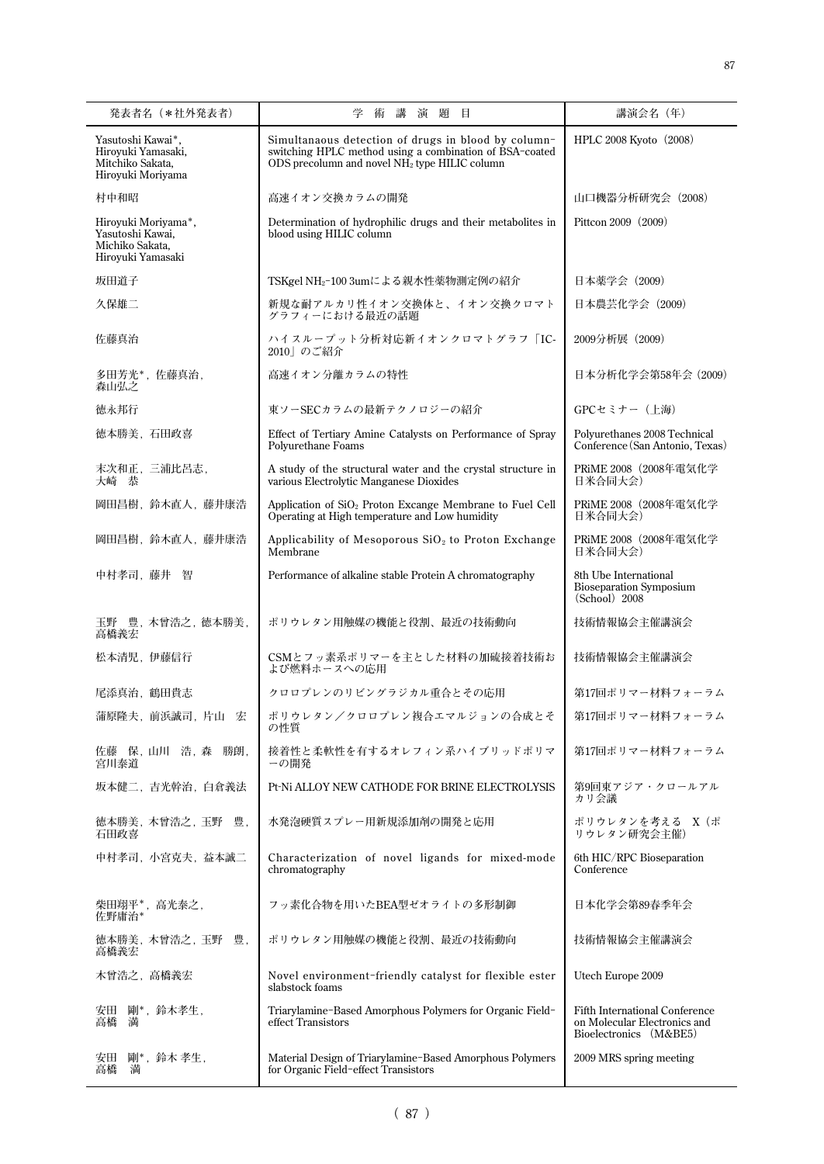| 発表者名(*社外発表者)                                                                     | 学<br>術<br>講<br>演題目                                                                                                                                                          | 講演会名 (年)                                                                                        |
|----------------------------------------------------------------------------------|-----------------------------------------------------------------------------------------------------------------------------------------------------------------------------|-------------------------------------------------------------------------------------------------|
| Yasutoshi Kawai*,<br>Hiroyuki Yamasaki,<br>Mitchiko Sakata,<br>Hiroyuki Moriyama | Simultanaous detection of drugs in blood by column-<br>switching HPLC method using a combination of BSA-coated<br>ODS precolumn and novel NH <sub>2</sub> type HILIC column | HPLC 2008 Kyoto (2008)                                                                          |
| 村中和昭                                                                             | 高速イオン交換カラムの開発                                                                                                                                                               | 山口機器分析研究会 (2008)                                                                                |
| Hiroyuki Moriyama*,<br>Yasutoshi Kawai,<br>Michiko Sakata,<br>Hiroyuki Yamasaki  | Determination of hydrophilic drugs and their metabolites in<br>blood using HILIC column                                                                                     | Pittcon 2009 (2009)                                                                             |
| 坂田道子                                                                             | TSKgel NH <sub>2</sub> -100 3umによる親水性薬物測定例の紹介                                                                                                                               | 日本薬学会 (2009)                                                                                    |
| 久保雄二                                                                             | 新規な耐アルカリ性イオン交換体と、イオン交換クロマト<br>グラフィーにおける最近の話題                                                                                                                                | 日本農芸化学会 (2009)                                                                                  |
| 佐藤真治                                                                             | ハイスループット分析対応新イオンクロマトグラフ「IC-<br>2010 のご紹介                                                                                                                                    | 2009分析展 (2009)                                                                                  |
| 多田芳光*, 佐藤真治,<br>森山弘之                                                             | 高速イオン分離カラムの特性                                                                                                                                                               | 日本分析化学会第58年会 (2009)                                                                             |
| 徳永邦行                                                                             | 東ソーSECカラムの最新テクノロジーの紹介                                                                                                                                                       | GPCセミナー (上海)                                                                                    |
| 徳本勝美,石田政喜                                                                        | Effect of Tertiary Amine Catalysts on Performance of Spray<br>Polyurethane Foams                                                                                            | Polyurethanes 2008 Technical<br>Conference (San Antonio, Texas)                                 |
| 末次和正,三浦比呂志,<br>大崎 恭                                                              | A study of the structural water and the crystal structure in<br>various Electrolytic Manganese Dioxides                                                                     | PRiME 2008 (2008年電気化学<br>日米合同大会)                                                                |
| 岡田昌樹, 鈴木直人, 藤井康浩                                                                 | Application of SiO <sub>2</sub> Proton Excange Membrane to Fuel Cell<br>Operating at High temperature and Low humidity                                                      | PRiME 2008(2008年電気化学<br>日米合同大会)                                                                 |
| 岡田昌樹, 鈴木直人, 藤井康浩                                                                 | Applicability of Mesoporous $SiO2$ to Proton Exchange<br>Membrane                                                                                                           | PRiME 2008(2008年電気化学<br>日米合同大会)                                                                 |
| 中村孝司, 藤井 智                                                                       | Performance of alkaline stable Protein A chromatography                                                                                                                     | 8th Ube International<br><b>Bioseparation Symposium</b><br>(School) 2008                        |
| 玉野 豊,木曾浩之,徳本勝美,<br>高橋義宏                                                          | ポリウレタン用触媒の機能と役割、最近の技術動向                                                                                                                                                     | 技術情報協会主催講演会                                                                                     |
| 松本清児,伊藤信行                                                                        | CSMとフッ素系ポリマーを主とした材料の加硫接着技術お<br>よび燃料ホースへの応用                                                                                                                                  | 技術情報協会主催講演会                                                                                     |
| 尾添真治, 鶴田貴志                                                                       | クロロプレンのリビングラジカル重合とその応用                                                                                                                                                      | 第17回ポリマー材料フォーラム                                                                                 |
| 蒲原隆夫,前浜誠司,片山 宏                                                                   | ポリウレタン/クロロプレン複合エマルジョンの合成とそ<br>の性質                                                                                                                                           | 第17回ポリマー材料フォーラム                                                                                 |
| 佐藤 保,山川 浩,森 勝朗,<br>宮川泰道                                                          | 接着性と柔軟性を有するオレフィン系ハイブリッドポリマ<br>ーの開発                                                                                                                                          | 第17回ポリマー材料フォーラム                                                                                 |
| 坂本健二,吉光幹治,白倉義法                                                                   | Pt-Ni ALLOY NEW CATHODE FOR BRINE ELECTROLYSIS                                                                                                                              | 第9回東アジア・クロールアル<br>カリ会議                                                                          |
| 徳本勝美, 木曾浩之, 玉野 豊,<br>石田政喜                                                        | 水発泡硬質スプレー用新規添加剤の開発と応用                                                                                                                                                       | ポリウレタンを考える X (ポ<br>リウレタン研究会主催)                                                                  |
| 中村孝司,小宮克夫,益本誠二                                                                   | Characterization of novel ligands for mixed-mode<br>chromatography                                                                                                          | 6th HIC/RPC Bioseparation<br>Conference                                                         |
| 柴田翔平*, 高光泰之,<br>佐野庸治*                                                            | フッ素化合物を用いたBEA型ゼオライトの多形制御                                                                                                                                                    | 日本化学会第89春季年会                                                                                    |
| 徳本勝美, 木曾浩之, 玉野<br>豊.<br>高橋義宏                                                     | ポリウレタン用触媒の機能と役割、最近の技術動向                                                                                                                                                     | 技術情報協会主催講演会                                                                                     |
| 木曾浩之,高橋義宏                                                                        | Novel environment-friendly catalyst for flexible ester<br>slabstock foams                                                                                                   | Utech Europe 2009                                                                               |
| 剛*,鈴木孝生,<br>安田<br>満<br>高橋                                                        | Triarylamine-Based Amorphous Polymers for Organic Field-<br>effect Transistors                                                                                              | <b>Fifth International Conference</b><br>on Molecular Electronics and<br>Bioelectronics (M&BE5) |
| 剛*,鈴木 孝生,<br>安田<br>高橋<br>満                                                       | Material Design of Triarylamine-Based Amorphous Polymers<br>for Organic Field-effect Transistors                                                                            | 2009 MRS spring meeting                                                                         |